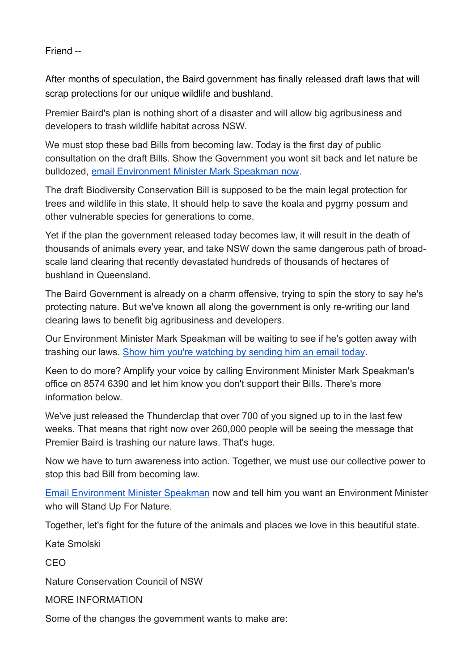Friend --

After months of speculation, the Baird government has finally released draft laws that will scrap protections for our unique wildlife and bushland.

Premier Baird's plan is nothing short of a disaster and will allow big agribusiness and developers to trash wildlife habitat across NSW.

We must stop these bad Bills from becoming law. Today is the first day of public consultation on the draft Bills. Show the Government you wont sit back and let nature be bulldozed, [email Environment Minister Mark Speakman now.](https://natureorg.nationbuilder.com/r?u=http%3A%2F%2Fwww.nature.org.au%2Fget-involved%2Ftake-action%2Fstand-up-for-nature-stop-land-clearing&e=e1ca41094e40ebee7ee114362e75c630&utm_source=natureorg&utm_medium=email&utm_campaign=bioreviewannoun&n=1)

The draft Biodiversity Conservation Bill is supposed to be the main legal protection for trees and wildlife in this state. It should help to save the koala and pygmy possum and other vulnerable species for generations to come.

Yet if the plan the government released today becomes law, it will result in the death of thousands of animals every year, and take NSW down the same dangerous path of broadscale land clearing that recently devastated hundreds of thousands of hectares of bushland in Queensland.

The Baird Government is already on a charm offensive, trying to spin the story to say he's protecting nature. But we've known all along the government is only re-writing our land clearing laws to benefit big agribusiness and developers.

Our Environment Minister Mark Speakman will be waiting to see if he's gotten away with trashing our laws. [Show him you're watching by sending him an email today.](https://natureorg.nationbuilder.com/r?u=http%3A%2F%2Fwww.nature.org.au%2Fget-involved%2Ftake-action%2Fstand-up-for-nature-stop-land-clearing&e=e1ca41094e40ebee7ee114362e75c630&utm_source=natureorg&utm_medium=email&utm_campaign=bioreviewannoun&n=2)

Keen to do more? Amplify your voice by calling Environment Minister Mark Speakman's office on 8574 6390 and let him know you don't support their Bills. There's more information below.

We've just released the Thunderclap that over 700 of you signed up to in the last few weeks. That means that right now over 260,000 people will be seeing the message that Premier Baird is trashing our nature laws. That's huge.

Now we have to turn awareness into action. Together, we must use our collective power to stop this bad Bill from becoming law.

[Email Environment Minister Speakman](https://natureorg.nationbuilder.com/r?u=http%3A%2F%2Fwww.nature.org.au%2Fget-involved%2Ftake-action%2Fstand-up-for-nature-stop-land-clearing&e=e1ca41094e40ebee7ee114362e75c630&utm_source=natureorg&utm_medium=email&utm_campaign=bioreviewannoun&n=4) now and tell him you want an Environment Minister who will Stand Up For Nature.

Together, let's fight for the future of the animals and places we love in this beautiful state.

Kate Smolski CEO Nature Conservation Council of NSW MORE INFORMATION Some of the changes the government wants to make are: